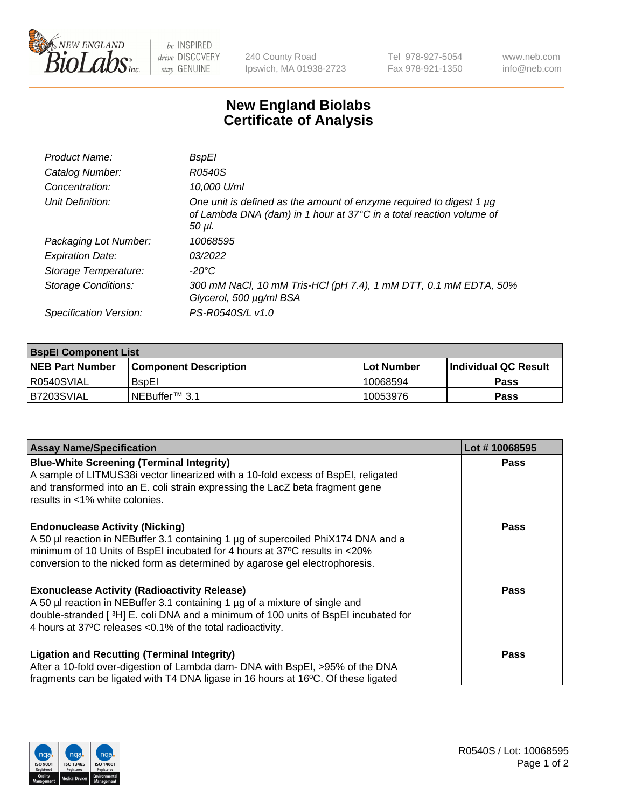

be INSPIRED drive DISCOVERY stay GENUINE

240 County Road Ipswich, MA 01938-2723 Tel 978-927-5054 Fax 978-921-1350 www.neb.com info@neb.com

## **New England Biolabs Certificate of Analysis**

| Product Name:              | <b>BspEI</b>                                                                                                                                                |
|----------------------------|-------------------------------------------------------------------------------------------------------------------------------------------------------------|
| Catalog Number:            | R0540S                                                                                                                                                      |
| Concentration:             | 10,000 U/ml                                                                                                                                                 |
| Unit Definition:           | One unit is defined as the amount of enzyme required to digest 1 µg<br>of Lambda DNA (dam) in 1 hour at 37°C in a total reaction volume of<br>$50$ $\mu$ l. |
| Packaging Lot Number:      | 10068595                                                                                                                                                    |
| <b>Expiration Date:</b>    | 03/2022                                                                                                                                                     |
| Storage Temperature:       | -20°C                                                                                                                                                       |
| <b>Storage Conditions:</b> | 300 mM NaCl, 10 mM Tris-HCl (pH 7.4), 1 mM DTT, 0.1 mM EDTA, 50%<br>Glycerol, 500 µg/ml BSA                                                                 |
| Specification Version:     | PS-R0540S/L v1.0                                                                                                                                            |

| <b>BspEl Component List</b> |                              |             |                       |  |  |
|-----------------------------|------------------------------|-------------|-----------------------|--|--|
| <b>NEB Part Number</b>      | <b>Component Description</b> | ⊺Lot Number | ∣Individual QC Result |  |  |
| R0540SVIAL                  | <b>B</b> spEl                | 10068594    | <b>Pass</b>           |  |  |
| I B7203SVIAL                | INEBuffer™ 3.1               | 10053976    | <b>Pass</b>           |  |  |

| <b>Assay Name/Specification</b>                                                    | Lot #10068595 |
|------------------------------------------------------------------------------------|---------------|
| <b>Blue-White Screening (Terminal Integrity)</b>                                   | <b>Pass</b>   |
| A sample of LITMUS38i vector linearized with a 10-fold excess of BspEI, religated  |               |
| and transformed into an E. coli strain expressing the LacZ beta fragment gene      |               |
| results in <1% white colonies.                                                     |               |
| <b>Endonuclease Activity (Nicking)</b>                                             | <b>Pass</b>   |
| A 50 µl reaction in NEBuffer 3.1 containing 1 µg of supercoiled PhiX174 DNA and a  |               |
| minimum of 10 Units of BspEI incubated for 4 hours at 37°C results in <20%         |               |
| conversion to the nicked form as determined by agarose gel electrophoresis.        |               |
| <b>Exonuclease Activity (Radioactivity Release)</b>                                | Pass          |
| A 50 µl reaction in NEBuffer 3.1 containing 1 µg of a mixture of single and        |               |
| double-stranded [3H] E. coli DNA and a minimum of 100 units of BspEI incubated for |               |
| 4 hours at 37°C releases < 0.1% of the total radioactivity.                        |               |
| Ligation and Recutting (Terminal Integrity)                                        | <b>Pass</b>   |
| After a 10-fold over-digestion of Lambda dam- DNA with BspEI, >95% of the DNA      |               |
| fragments can be ligated with T4 DNA ligase in 16 hours at 16°C. Of these ligated  |               |